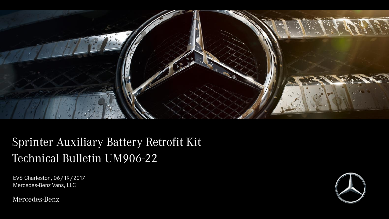

## Sprinter Auxiliary Battery Retrofit Kit Technical Bulletin UM906-22

EVS Charleston, 06/19/2017 Mercedes-Benz Vans, LLC

Mercedes-Benz

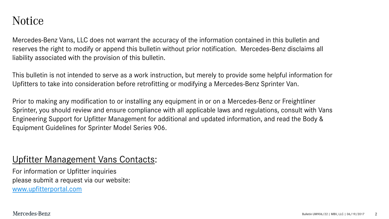## Notice

Mercedes-Benz Vans, LLC does not warrant the accuracy of the information contained in this bulletin and reserves the right to modify or append this bulletin without prior notification. Mercedes-Benz disclaims all liability associated with the provision of this bulletin.

This bulletin is not intended to serve as a work instruction, but merely to provide some helpful information for Upfitters to take into consideration before retrofitting or modifying a Mercedes-Benz Sprinter Van.

Prior to making any modification to or installing any equipment in or on a Mercedes-Benz or Freightliner Sprinter, you should review and ensure compliance with all applicable laws and regulations, consult with Vans Engineering Support for Upfitter Management for additional and updated information, and read the Body & Equipment Guidelines for Sprinter Model Series 906.

## Upfitter Management Vans Contacts:

For information or Upfitter inquiries please submit a request via our website: [www.upfitterportal.com](http://www.upfitterportalcom/)

Mercedes-Benz